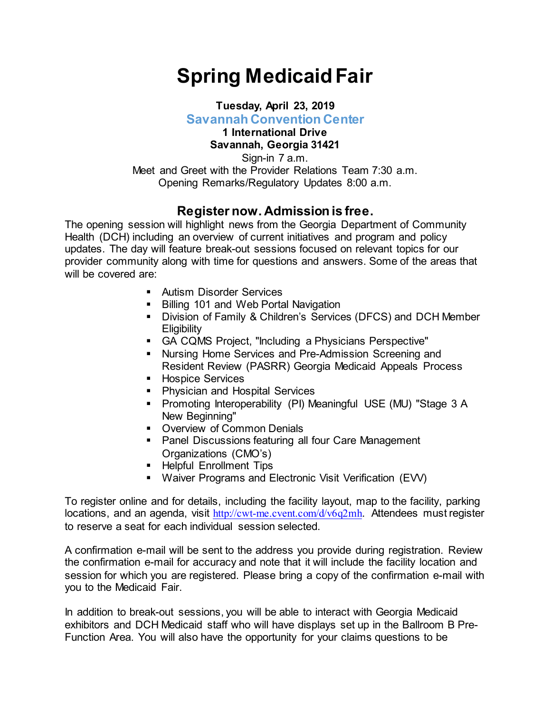## **Spring Medicaid Fair**

## **Tuesday, April 23, 2019 Savannah Convention Center**

## **1 International Drive Savannah, Georgia 31421**

Sign-in 7 a.m. Meet and Greet with the Provider Relations Team 7:30 a.m. Opening Remarks/Regulatory Updates 8:00 a.m.

## **Register now. Admission is free.**

The opening session will highlight news from the Georgia Department of Community Health (DCH) including an overview of current initiatives and program and policy updates. The day will feature break-out sessions focused on relevant topics for our provider community along with time for questions and answers. Some of the areas that will be covered are:

- **Autism Disorder Services**
- Billing 101 and Web Portal Navigation
- Division of Family & Children's Services (DFCS) and DCH Member **Eligibility**
- GA CQMS Project, "Including a Physicians Perspective"
- Nursing Home Services and Pre-Admission Screening and Resident Review (PASRR) Georgia Medicaid Appeals Process
- **Hospice Services**
- **Physician and Hospital Services**
- Promoting Interoperability (PI) Meaningful USE (MU) "Stage 3 A New Beginning"
- **Overview of Common Denials**
- **Panel Discussions featuring all four Care Management** Organizations (CMO's)
- **Helpful Enrollment Tips**
- Waiver Programs and Electronic Visit Verification (EVV)

To register online and for details, including the facility layout, map to the facility, parking locations, and an agenda, visit <http://cwt-me.cvent.com/d/v6q2mh>. Attendees must register to reserve a seat for each individual session selected.

A confirmation e-mail will be sent to the address you provide during registration. Review the confirmation e-mail for accuracy and note that it will include the facility location and session for which you are registered. Please bring a copy of the confirmation e-mail with you to the Medicaid Fair.

In addition to break-out sessions, you will be able to interact with Georgia Medicaid exhibitors and DCH Medicaid staff who will have displays set up in the Ballroom B Pre-Function Area. You will also have the opportunity for your claims questions to be